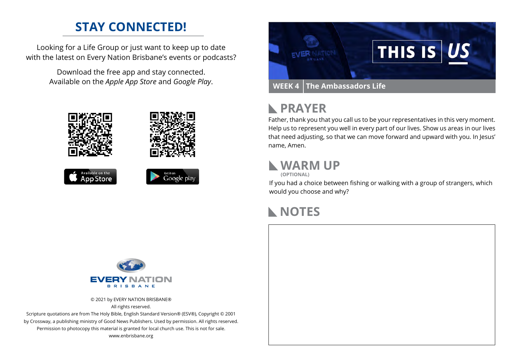#### **STAY CONNECTED!**

Looking for a Life Group or just want to keep up to date with the latest on Every Nation Brisbane's events or podcasts?

> Download the free app and stay connected. Available on the *Apple App Store* and *Google Play*.





#### **PRAYER**  $\mathbb{R}$

Father, thank you that you call us to be your representatives in this very moment. Help us to represent you well in every part of our lives. Show us areas in our lives that need adjusting, so that we can move forward and upward with you. In Jesus' name, Amen.

#### **WARM UP**

**(OPTIONAL)**

If you had a choice between fishing or walking with a group of strangers, which would you choose and why?

#### **NOTES**



© 2021 by EVERY NATION BRISBANE® All rights reserved.

Scripture quotations are from The Holy Bible, English Standard Version® (ESV®), Copyright © 2001 by Crossway, a publishing ministry of Good News Publishers. Used by permission. All rights reserved. Permission to photocopy this material is granted for local church use. This is not for sale. www.enbrisbane.org